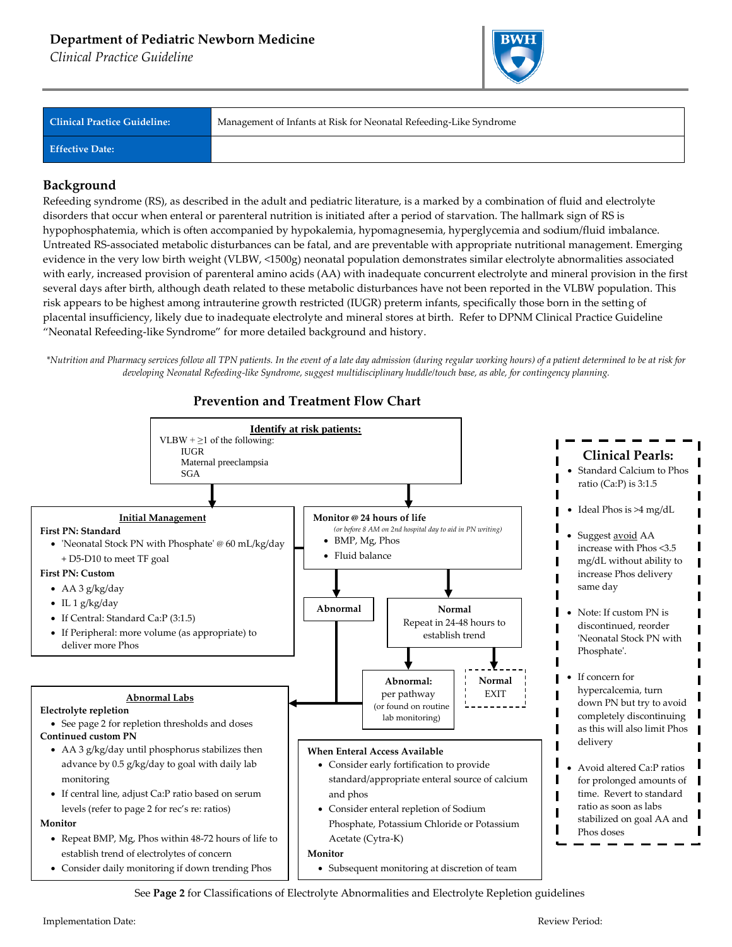## **Department of Pediatric Newborn Medicine**

*Clinical Practice Guideline*



| <b>Clinical Practice Guideline:</b> | Management of Infants at Risk for Neonatal Refeeding-Like Syndrome |
|-------------------------------------|--------------------------------------------------------------------|
| <b>Effective Date:</b>              |                                                                    |

## **Background**

Refeeding syndrome (RS), as described in the adult and pediatric literature, is a marked by a combination of fluid and electrolyte disorders that occur when enteral or parenteral nutrition is initiated after a period of starvation. The hallmark sign of RS is hypophosphatemia, which is often accompanied by hypokalemia, hypomagnesemia, hyperglycemia and sodium/fluid imbalance. Untreated RS-associated metabolic disturbances can be fatal, and are preventable with appropriate nutritional management. Emerging evidence in the very low birth weight (VLBW, <1500g) neonatal population demonstrates similar electrolyte abnormalities associated with early, increased provision of parenteral amino acids (AA) with inadequate concurrent electrolyte and mineral provision in the first several days after birth, although death related to these metabolic disturbances have not been reported in the VLBW population. This risk appears to be highest among intrauterine growth restricted (IUGR) preterm infants, specifically those born in the setting of placental insufficiency, likely due to inadequate electrolyte and mineral stores at birth. Refer to DPNM Clinical Practice Guideline "Neonatal Refeeding-like Syndrome" for more detailed background and history.

*\*Nutrition and Pharmacy services follow all TPN patients. In the event of a late day admission (during regular working hours) of a patient determined to be at risk for developing Neonatal Refeeding-like Syndrome, suggest multidisciplinary huddle/touch base, as able, for contingency planning.*



**Prevention and Treatment Flow Chart**

See **Page 2** for Classifications of Electrolyte Abnormalities and Electrolyte Repletion guidelines